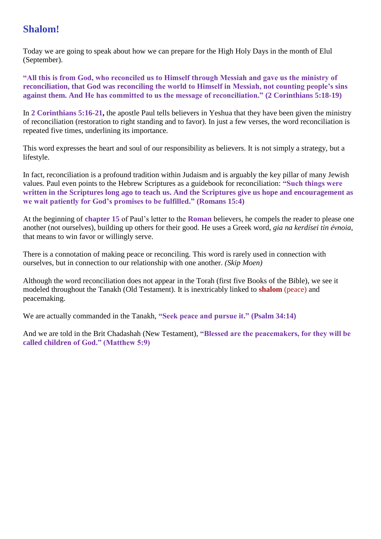# **Shalom!**

Today we are going to speak about how we can prepare for the High Holy Days in the month of Elul (September).

**"All this is from God, who reconciled us to Himself through Messiah and gave us the ministry of reconciliation, that God was reconciling the world to Himself in Messiah, not counting people's sins against them. And He has committed to us the message of reconciliation." (2 Corinthians 5:18-19)**

In **2 Corinthians 5:16-21,** the apostle Paul tells believers in Yeshua that they have been given the ministry of reconciliation (restoration to right standing and to favor). In just a few verses, the word reconciliation is repeated five times, underlining its importance.

This word expresses the heart and soul of our responsibility as believers. It is not simply a strategy, but a lifestyle.

In fact, reconciliation is a profound tradition within Judaism and is arguably the key pillar of many Jewish values. Paul even points to the Hebrew Scriptures as a guidebook for reconciliation: **"Such things were written in the Scriptures long ago to teach us. And the Scriptures give us hope and encouragement as we wait patiently for God's promises to be fulfilled." (Romans 15:4)**

At the beginning of **chapter 15** of Paul's letter to the **Roman** believers, he compels the reader to please one another (not ourselves), building up others for their good. He uses a Greek word, *gia na kerdísei tin évnoia*, that means to win favor or willingly serve.

There is a connotation of making peace or reconciling. This word is rarely used in connection with ourselves, but in connection to our relationship with one another. *(Skip Moen)*

Although the word reconciliation does not appear in the Torah (first five Books of the Bible), we see it modeled throughout the Tanakh (Old Testament). It is inextricably linked to **shalom** (peace) and peacemaking.

We are actually commanded in the Tanakh, **"Seek peace and pursue it." (Psalm 34:14)**

And we are told in the Brit Chadashah (New Testament), **"Blessed are the peacemakers, for they will be called children of God." (Matthew 5:9)**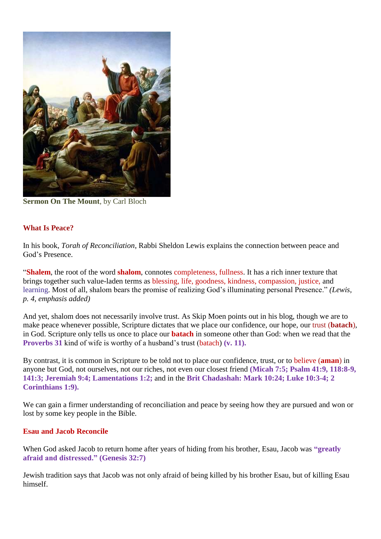

**Sermon On The Mount**, by Carl Bloch

## **What Is Peace?**

In his book, *Torah of Reconciliation*, Rabbi Sheldon Lewis explains the connection between peace and God's Presence.

"**Shalem**, the root of the word **shalom**, connotes completeness, fullness. It has a rich inner texture that brings together such value-laden terms as blessing, life, goodness, kindness, compassion, justice, and learning. Most of all, shalom bears the promise of realizing God's illuminating personal Presence." *(Lewis, p. 4, emphasis added)*

And yet, shalom does not necessarily involve trust. As Skip Moen points out in his blog, though we are to make peace whenever possible, Scripture dictates that we place our confidence, our hope, our trust (**batach**), in God. Scripture only tells us once to place our **batach** in someone other than God: when we read that the **Proverbs 31** kind of wife is worthy of a husband's trust (batach) **(v. 11).**

By contrast, it is common in Scripture to be told not to place our confidence, trust, or to believe (**aman**) in anyone but God, not ourselves, not our riches, not even our closest friend **(Micah 7:5; Psalm 41:9, 118:8-9, 141:3; Jeremiah 9:4; Lamentations 1:2;** and in the **Brit Chadashah: Mark 10:24; Luke 10:3-4; 2 Corinthians 1:9).**

We can gain a firmer understanding of reconciliation and peace by seeing how they are pursued and won or lost by some key people in the Bible.

## **Esau and Jacob Reconcile**

When God asked Jacob to return home after years of hiding from his brother, Esau, Jacob was **"greatly afraid and distressed." (Genesis 32:7)**

Jewish tradition says that Jacob was not only afraid of being killed by his brother Esau, but of killing Esau himself.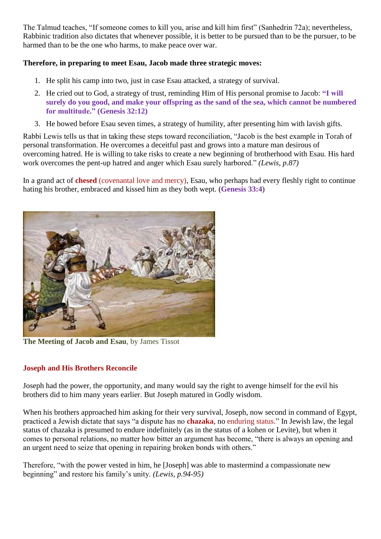The Talmud teaches, "If someone comes to kill you, arise and kill him first" (Sanhedrin 72a); nevertheless, Rabbinic tradition also dictates that whenever possible, it is better to be pursued than to be the pursuer, to be harmed than to be the one who harms, to make peace over war.

# **Therefore, in preparing to meet Esau, Jacob made three strategic moves:**

- 1. He split his camp into two, just in case Esau attacked, a strategy of survival.
- 2. He cried out to God, a strategy of trust, reminding Him of His personal promise to Jacob: **"I will surely do you good, and make your offspring as the sand of the sea, which cannot be numbered for multitude." (Genesis 32:12)**
- 3. He bowed before Esau seven times, a strategy of humility, after presenting him with lavish gifts.

Rabbi Lewis tells us that in taking these steps toward reconciliation, "Jacob is the best example in Torah of personal transformation. He overcomes a deceitful past and grows into a mature man desirous of overcoming hatred. He is willing to take risks to create a new beginning of brotherhood with Esau. His hard work overcomes the pent-up hatred and anger which Esau surely harbored." *(Lewis, p.87)*

In a grand act of **chesed** (covenantal love and mercy), Esau, who perhaps had every fleshly right to continue hating his brother, embraced and kissed him as they both wept. (**Genesis 33:4**)



**The Meeting of Jacob and Esau**, by James Tissot

# **Joseph and His Brothers Reconcile**

Joseph had the power, the opportunity, and many would say the right to avenge himself for the evil his brothers did to him many years earlier. But Joseph matured in Godly wisdom.

When his brothers approached him asking for their very survival, Joseph, now second in command of Egypt, practiced a Jewish dictate that says "a dispute has no **chazaka**, no enduring status." In Jewish law, the legal status of chazaka is presumed to endure indefinitely (as in the status of a kohen or Levite), but when it comes to personal relations, no matter how bitter an argument has become, "there is always an opening and an urgent need to seize that opening in repairing broken bonds with others."

Therefore, "with the power vested in him, he [Joseph] was able to mastermind a compassionate new beginning" and restore his family's unity. *(Lewis, p.94-95)*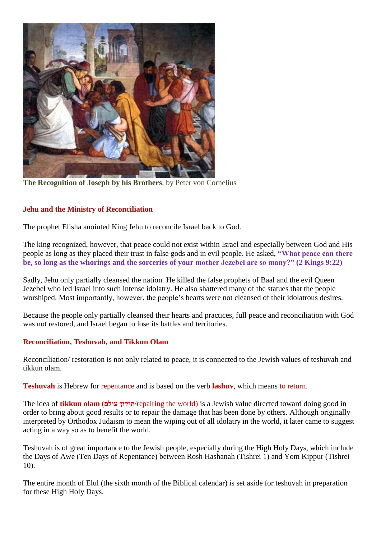

**The Recognition of Joseph by his Brothers**, by Peter von Cornelius

# **Jehu and the Ministry of Reconciliation**

The prophet Elisha anointed King Jehu to reconcile Israel back to God.

The king recognized, however, that peace could not exist within Israel and especially between God and His people as long as they placed their trust in false gods and in evil people. He asked, **"What peace can there be, so long as the whorings and the sorceries of your mother Jezebel are so many?" (2 Kings 9:22)**

Sadly, Jehu only partially cleansed the nation. He killed the false prophets of Baal and the evil Queen Jezebel who led Israel into such intense idolatry. He also shattered many of the statues that the people worshiped. Most importantly, however, the people's hearts were not cleansed of their idolatrous desires.

Because the people only partially cleansed their hearts and practices, full peace and reconciliation with God was not restored, and Israel began to lose its battles and territories.

## **Reconciliation, Teshuvah, and Tikkun Olam**

Reconciliation/ restoration is not only related to peace, it is connected to the Jewish values of teshuvah and tikkun olam.

**Teshuvah** is Hebrew for repentance and is based on the verb **lashuv**, which means to return.

The idea of **tikkun olam** (**עולם תיקון**/repairing the world) is a Jewish value directed toward doing good in order to bring about good results or to repair the damage that has been done by others. Although originally interpreted by Orthodox Judaism to mean the wiping out of all idolatry in the world, it later came to suggest acting in a way so as to benefit the world.

Teshuvah is of great importance to the Jewish people, especially during the High Holy Days, which include the Days of Awe (Ten Days of Repentance) between Rosh Hashanah (Tishrei 1) and Yom Kippur (Tishrei 10).

The entire month of Elul (the sixth month of the Biblical calendar) is set aside for teshuvah in preparation for these High Holy Days.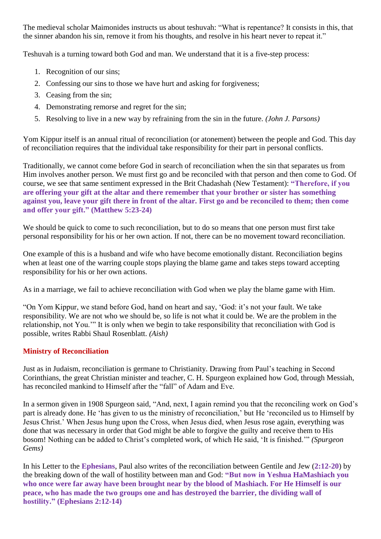The medieval scholar Maimonides instructs us about teshuvah: "What is repentance? It consists in this, that the sinner abandon his sin, remove it from his thoughts, and resolve in his heart never to repeat it."

Teshuvah is a turning toward both God and man. We understand that it is a five-step process:

- 1. Recognition of our sins;
- 2. Confessing our sins to those we have hurt and asking for forgiveness;
- 3. Ceasing from the sin;
- 4. Demonstrating remorse and regret for the sin;
- 5. Resolving to live in a new way by refraining from the sin in the future. *(John J. Parsons)*

Yom Kippur itself is an annual ritual of reconciliation (or atonement) between the people and God. This day of reconciliation requires that the individual take responsibility for their part in personal conflicts.

Traditionally, we cannot come before God in search of reconciliation when the sin that separates us from Him involves another person. We must first go and be reconciled with that person and then come to God. Of course, we see that same sentiment expressed in the Brit Chadashah (New Testament): **"Therefore, if you are offering your gift at the altar and there remember that your brother or sister has something against you, leave your gift there in front of the altar. First go and be reconciled to them; then come and offer your gift." (Matthew 5:23-24)**

We should be quick to come to such reconciliation, but to do so means that one person must first take personal responsibility for his or her own action. If not, there can be no movement toward reconciliation.

One example of this is a husband and wife who have become emotionally distant. Reconciliation begins when at least one of the warring couple stops playing the blame game and takes steps toward accepting responsibility for his or her own actions.

As in a marriage, we fail to achieve reconciliation with God when we play the blame game with Him.

"On Yom Kippur, we stand before God, hand on heart and say, 'God: it's not your fault. We take responsibility. We are not who we should be, so life is not what it could be. We are the problem in the relationship, not You.'" It is only when we begin to take responsibility that reconciliation with God is possible, writes Rabbi Shaul Rosenblatt. *(Aish)*

# **Ministry of Reconciliation**

Just as in Judaism, reconciliation is germane to Christianity. Drawing from Paul's teaching in Second Corinthians, the great Christian minister and teacher, C. H. Spurgeon explained how God, through Messiah, has reconciled mankind to Himself after the "fall" of Adam and Eve.

In a sermon given in 1908 Spurgeon said, "And, next, I again remind you that the reconciling work on God's part is already done. He 'has given to us the ministry of reconciliation,' but He 'reconciled us to Himself by Jesus Christ.' When Jesus hung upon the Cross, when Jesus died, when Jesus rose again, everything was done that was necessary in order that God might be able to forgive the guilty and receive them to His bosom! Nothing can be added to Christ's completed work, of which He said, 'It is finished.'" *(Spurgeon Gems)*

In his Letter to the **Ephesians**, Paul also writes of the reconciliation between Gentile and Jew (**2:12-20**) by the breaking down of the wall of hostility between man and God: **"But now in Yeshua HaMashiach you who once were far away have been brought near by the blood of Mashiach. For He Himself is our peace, who has made the two groups one and has destroyed the barrier, the dividing wall of hostility." (Ephesians 2:12-14)**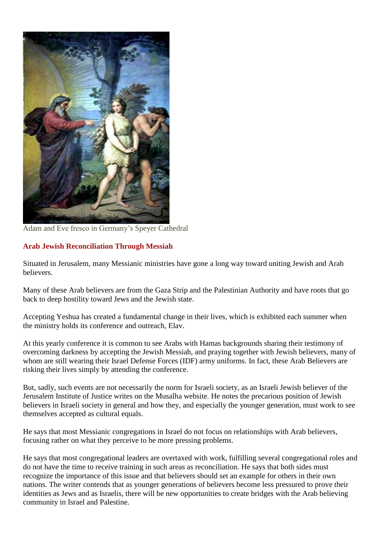

Adam and Eve fresco in Germany's Speyer Cathedral

# **Arab Jewish Reconciliation Through Messiah**

Situated in Jerusalem, many Messianic ministries have gone a long way toward uniting Jewish and Arab believers.

Many of these Arab believers are from the Gaza Strip and the Palestinian Authority and have roots that go back to deep hostility toward Jews and the Jewish state.

Accepting Yeshua has created a fundamental change in their lives, which is exhibited each summer when the ministry holds its conference and outreach, Elav.

At this yearly conference it is common to see Arabs with Hamas backgrounds sharing their testimony of overcoming darkness by accepting the Jewish Messiah, and praying together with Jewish believers, many of whom are still wearing their Israel Defense Forces (IDF) army uniforms. In fact, these Arab Believers are risking their lives simply by attending the conference.

But, sadly, such events are not necessarily the norm for Israeli society, as an Israeli Jewish believer of the Jerusalem Institute of Justice writes on the Musalha website. He notes the precarious position of Jewish believers in Israeli society in general and how they, and especially the younger generation, must work to see themselves accepted as cultural equals.

He says that most Messianic congregations in Israel do not focus on relationships with Arab believers, focusing rather on what they perceive to be more pressing problems.

He says that most congregational leaders are overtaxed with work, fulfilling several congregational roles and do not have the time to receive training in such areas as reconciliation. He says that both sides must recognize the importance of this issue and that believers should set an example for others in their own nations. The writer contends that as younger generations of believers become less pressured to prove their identities as Jews and as Israelis, there will be new opportunities to create bridges with the Arab believing community in Israel and Palestine.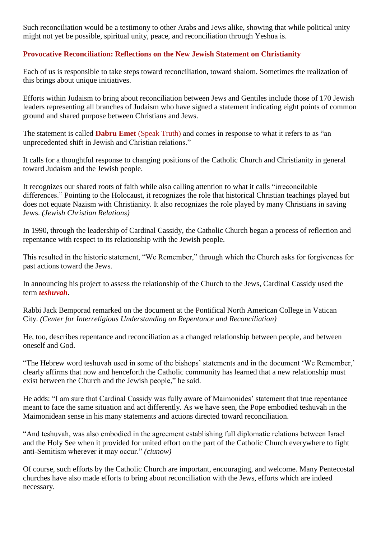Such reconciliation would be a testimony to other Arabs and Jews alike, showing that while political unity might not yet be possible, spiritual unity, peace, and reconciliation through Yeshua is.

# **Provocative Reconciliation: Reflections on the New Jewish Statement on Christianity**

Each of us is responsible to take steps toward reconciliation, toward shalom. Sometimes the realization of this brings about unique initiatives.

Efforts within Judaism to bring about reconciliation between Jews and Gentiles include those of 170 Jewish leaders representing all branches of Judaism who have signed a statement indicating eight points of common ground and shared purpose between Christians and Jews.

The statement is called **Dabru Emet** (Speak Truth) and comes in response to what it refers to as "an unprecedented shift in Jewish and Christian relations."

It calls for a thoughtful response to changing positions of the Catholic Church and Christianity in general toward Judaism and the Jewish people.

It recognizes our shared roots of faith while also calling attention to what it calls "irreconcilable differences." Pointing to the Holocaust, it recognizes the role that historical Christian teachings played but does not equate Nazism with Christianity. It also recognizes the role played by many Christians in saving Jews. *(Jewish Christian Relations)*

In 1990, through the leadership of Cardinal Cassidy, the Catholic Church began a process of reflection and repentance with respect to its relationship with the Jewish people.

This resulted in the historic statement, "We Remember," through which the Church asks for forgiveness for past actions toward the Jews.

In announcing his project to assess the relationship of the Church to the Jews, Cardinal Cassidy used the term *teshuvah*.

Rabbi Jack Bemporad remarked on the document at the Pontifical North American College in Vatican City. *(Center for Interreligious Understanding on Repentance and Reconciliation)*

He, too, describes repentance and reconciliation as a changed relationship between people, and between oneself and God.

"The Hebrew word teshuvah used in some of the bishops' statements and in the document 'We Remember,' clearly affirms that now and henceforth the Catholic community has learned that a new relationship must exist between the Church and the Jewish people," he said.

He adds: "I am sure that Cardinal Cassidy was fully aware of Maimonides' statement that true repentance meant to face the same situation and act differently. As we have seen, the Pope embodied teshuvah in the Maimonidean sense in his many statements and actions directed toward reconciliation.

"And teshuvah, was also embodied in the agreement establishing full diplomatic relations between Israel and the Holy See when it provided for united effort on the part of the Catholic Church everywhere to fight anti-Semitism wherever it may occur." *(ciunow)*

Of course, such efforts by the Catholic Church are important, encouraging, and welcome. Many Pentecostal churches have also made efforts to bring about reconciliation with the Jews, efforts which are indeed necessary.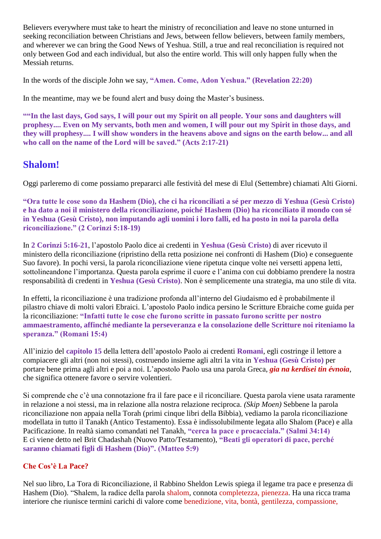Believers everywhere must take to heart the ministry of reconciliation and leave no stone unturned in seeking reconciliation between Christians and Jews, between fellow believers, between family members, and wherever we can bring the Good News of Yeshua. Still, a true and real reconciliation is required not only between God and each individual, but also the entire world. This will only happen fully when the Messiah returns.

In the words of the disciple John we say, **"Amen. Come, Adon Yeshua." (Revelation 22:20)**

In the meantime, may we be found alert and busy doing the Master's business.

**""In the last days, God says, I will pour out my Spirit on all people. Your sons and daughters will prophesy.... Even on My servants, both men and women, I will pour out my Spirit in those days, and they will prophesy.... I will show wonders in the heavens above and signs on the earth below... and all who call on the name of the Lord will be saved." (Acts 2:17-21)**

# **Shalom!**

Oggi parleremo di come possiamo prepararci alle festività del mese di Elul (Settembre) chiamati Alti Giorni.

**"Ora tutte le cose sono da Hashem (Dio), che ci ha riconciliati a sé per mezzo di Yeshua (Gesù Cristo) e ha dato a noi il ministero della riconciliazione, poiché Hashem (Dio) ha riconciliato il mondo con sé in Yeshua (Gesù Cristo), non imputando agli uomini i loro falli, ed ha posto in noi la parola della riconciliazione." (2 Corinzi 5:18-19)**

In **2 Corinzi 5:16-21**, l'apostolo Paolo dice ai credenti in **Yeshua (Gesù Cristo)** di aver ricevuto il ministero della riconciliazione (ripristino della retta posizione nei confronti di Hashem (Dio) e conseguente Suo favore). In pochi versi, la parola riconciliazione viene ripetuta cinque volte nei versetti appena letti, sottolineandone l'importanza. Questa parola esprime il cuore e l'anima con cui dobbiamo prendere la nostra responsabilità di credenti in **Yeshua (Gesù Cristo)**. Non è semplicemente una strategia, ma uno stile di vita.

In effetti, la riconciliazione è una tradizione profonda all'interno del Giudaismo ed è probabilmente il pilastro chiave di molti valori Ebraici. L'apostolo Paolo indica persino le Scritture Ebraiche come guida per la riconciliazione: **"Infatti tutte le cose che furono scritte in passato furono scritte per nostro ammaestramento, affinché mediante la perseveranza e la consolazione delle Scritture noi riteniamo la speranza." (Romani 15:4)**

All'inizio del **capitolo 15** della lettera dell'apostolo Paolo ai credenti **Romani**, egli costringe il lettore a compiacere gli altri (non noi stessi), costruendo insieme agli altri la vita in **Yeshua (Gesù Cristo)** per portare bene prima agli altri e poi a noi. L'apostolo Paolo usa una parola Greca, *gia na kerdísei tin évnoia*, che significa ottenere favore o servire volentieri.

Si comprende che c'è una connotazione fra il fare pace e il riconciliare. Questa parola viene usata raramente in relazione a noi stessi, ma in relazione alla nostra relazione reciproca. *(Skip Moen)* Sebbene la parola riconciliazione non appaia nella Torah (primi cinque libri della Bibbia), vediamo la parola riconciliazione modellata in tutto il Tanakh (Antico Testamento). Essa è indissolubilmente legata allo Shalom (Pace) e alla Pacificazione. In realtà siamo comandati nel Tanakh, **"cerca la pace e procacciala." (Salmi 34:14)** E ci viene detto nel Brit Chadashah (Nuovo Patto/Testamento), **"Beati gli operatori di pace, perché saranno chiamati figli di Hashem (Dio)". (Matteo 5:9)**

# **Che Cos'è La Pace?**

Nel suo libro, La Tora di Riconciliazione, il Rabbino Sheldon Lewis spiega il legame tra pace e presenza di Hashem (Dio). "Shalem, la radice della parola shalom, connota completezza, pienezza. Ha una ricca trama interiore che riunisce termini carichi di valore come benedizione, vita, bontà, gentilezza, compassione,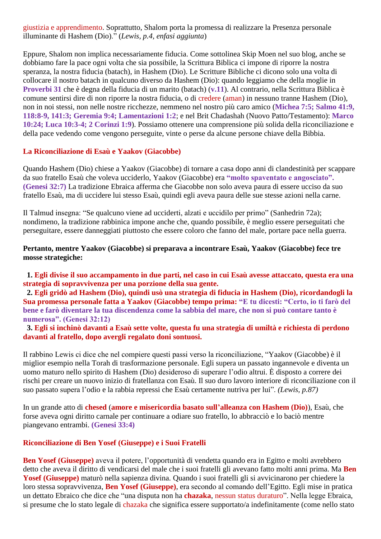giustizia e apprendimento. Soprattutto, Shalom porta la promessa di realizzare la Presenza personale illuminante di Hashem (Dio)." (*Lewis, p.4, enfasi aggiunta*)

Eppure, Shalom non implica necessariamente fiducia. Come sottolinea Skip Moen nel suo blog, anche se dobbiamo fare la pace ogni volta che sia possibile, la Scrittura Biblica ci impone di riporre la nostra speranza, la nostra fiducia (batach), in Hashem (Dio). Le Scritture Bibliche ci dicono solo una volta di collocare il nostro batach in qualcuno diverso da Hashem (Dio): quando leggiamo che della moglie in **Proverbi 31** che è degna della fiducia di un marito (batach) (**v.11**). Al contrario, nella Scrittura Biblica è comune sentirsi dire di non riporre la nostra fiducia, o di credere (aman) in nessuno tranne Hashem (Dio), non in noi stessi, non nelle nostre ricchezze, nemmeno nel nostro più caro amico (**Michea 7:5; Salmo 41:9, 118:8-9, 141:3; Geremia 9:4; Lamentazioni 1:2**; e nel Brit Chadashah (Nuovo Patto/Testamento): **Marco 10:24; Luca 10:3-4; 2 Corinzi 1:9**). Possiamo ottenere una comprensione più solida della riconciliazione e della pace vedendo come vengono perseguite, vinte o perse da alcune persone chiave della Bibbia.

#### **La Riconciliazione di Esaù e Yaakov (Giacobbe)**

Quando Hashem (Dio) chiese a Yaakov (Giacobbe) di tornare a casa dopo anni di clandestinità per scappare da suo fratello Esaù che voleva ucciderlo, Yaakov (Giacobbe) era **"molto spaventato e angosciato". (Genesi 32:7)** La tradizione Ebraica afferma che Giacobbe non solo aveva paura di essere ucciso da suo fratello Esaù, ma di uccidere lui stesso Esaù, quindi egli aveva paura delle sue stesse azioni nella carne.

Il Talmud insegna: "Se qualcuno viene ad ucciderti, alzati e uccidilo per primo" (Sanhedrin 72a); nondimeno, la tradizione rabbinica impone anche che, quando possibile, è meglio essere perseguitati che perseguitare, essere danneggiati piuttosto che essere coloro che fanno del male, portare pace nella guerra.

### **Pertanto, mentre Yaakov (Giacobbe) si preparava a incontrare Esaù, Yaakov (Giacobbe) fece tre mosse strategiche:**

 **1. Egli divise il suo accampamento in due parti, nel caso in cui Esaù avesse attaccato, questa era una strategia di sopravvivenza per una porzione della sua gente.**

 **2. Egli gridò ad Hashem (Dio), quindi usò una strategia di fiducia in Hashem (Dio), ricordandogli la Sua promessa personale fatta a Yaakov (Giacobbe) tempo prima: "E tu dicesti: "Certo, io ti farò del bene e farò diventare la tua discendenza come la sabbia del mare, che non si può contare tanto è numerosa". (Genesi 32:12)**

 **3. Egli si inchinò davanti a Esaù sette volte, questa fu una strategia di umiltà e richiesta di perdono davanti al fratello, dopo avergli regalato doni sontuosi.**

Il rabbino Lewis ci dice che nel compiere questi passi verso la riconciliazione, "Yaakov (Giacobbe) è il miglior esempio nella Torah di trasformazione personale. Egli supera un passato ingannevole e diventa un uomo maturo nello spirito di Hashem (Dio) desideroso di superare l'odio altrui. È disposto a correre dei rischi per creare un nuovo inizio di fratellanza con Esaù. Il suo duro lavoro interiore di riconciliazione con il suo passato supera l'odio e la rabbia repressi che Esaù certamente nutriva per lui". *(Lewis, p.87)*

In un grande atto di **chesed** (**amore e misericordia basato sull'alleanza con Hashem (Dio)**), Esaù, che forse aveva ogni diritto carnale per continuare a odiare suo fratello, lo abbracciò e lo baciò mentre piangevano entrambi. **(Genesi 33:4)**

#### **Riconciliazione di Ben Yosef (Giuseppe) e i Suoi Fratelli**

**Ben Yosef (Giuseppe)** aveva il potere, l'opportunità di vendetta quando era in Egitto e molti avrebbero detto che aveva il diritto di vendicarsi del male che i suoi fratelli gli avevano fatto molti anni prima. Ma **Ben Yosef (Giuseppe)** maturò nella sapienza divina. Quando i suoi fratelli gli si avvicinarono per chiedere la loro stessa sopravvivenza, **Ben Yosef (Giuseppe)**, era secondo al comando dell'Egitto. Egli mise in pratica un dettato Ebraico che dice che "una disputa non ha **chazaka**, nessun status duraturo". Nella legge Ebraica, si presume che lo stato legale di chazaka che significa essere supportato/a indefinitamente (come nello stato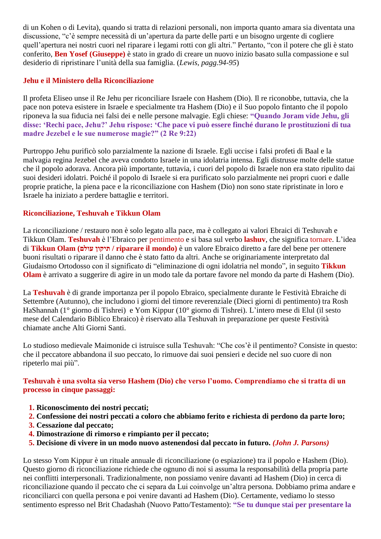di un Kohen o di Levita), quando si tratta di relazioni personali, non importa quanto amara sia diventata una discussione, "c'è sempre necessità di un'apertura da parte delle parti e un bisogno urgente di cogliere quell'apertura nei nostri cuori nel riparare i legami rotti con gli altri." Pertanto, "con il potere che gli è stato conferito, **Ben Yosef (Giuseppe)** è stato in grado di creare un nuovo inizio basato sulla compassione e sul desiderio di ripristinare l'unità della sua famiglia. (*Lewis, pagg.94-95*)

# **Jehu e il Ministero della Riconciliazione**

Il profeta Eliseo unse il Re Jehu per riconciliare Israele con Hashem (Dio). Il re riconobbe, tuttavia, che la pace non poteva esistere in Israele e specialmente tra Hashem (Dio) e il Suo popolo fintanto che il popolo riponeva la sua fiducia nei falsi dei e nelle persone malvagie. Egli chiese: **"Quando Joram vide Jehu, gli disse: 'Rechi pace, Jehu?' Jehu rispose: 'Che pace vi può essere finché durano le prostituzioni di tua madre Jezebel e le sue numerose magie?" (2 Re 9:22)**

Purtroppo Jehu purificò solo parzialmente la nazione di Israele. Egli uccise i falsi profeti di Baal e la malvagia regina Jezebel che aveva condotto Israele in una idolatria intensa. Egli distrusse molte delle statue che il popolo adorava. Ancora più importante, tuttavia, i cuori del popolo di Israele non era stato ripulito dai suoi desideri idolatri. Poiché il popolo di Israele si era purificato solo parzialmente nei propri cuori e dalle proprie pratiche, la piena pace e la riconciliazione con Hashem (Dio) non sono state ripristinate in loro e Israele ha iniziato a perdere battaglie e territori.

# **Riconciliazione, Teshuvah e Tikkun Olam**

La riconciliazione / restauro non è solo legato alla pace, ma è collegato ai valori Ebraici di Teshuvah e Tikkun Olam. **Teshuvah** è l'Ebraico per pentimento e si basa sul verbo **lashuv**, che significa tornare. L'idea di **Tikkun Olam (עולם תיקון / riparare il mondo)** è un valore Ebraico diretto a fare del bene per ottenere buoni risultati o riparare il danno che è stato fatto da altri. Anche se originariamente interpretato dal Giudaismo Ortodosso con il significato di "eliminazione di ogni idolatria nel mondo", in seguito **Tikkun Olam** è arrivato a suggerire di agire in un modo tale da portare favore nel mondo da parte di Hashem (Dio).

La **Teshuvah** è di grande importanza per il popolo Ebraico, specialmente durante le Festività Ebraiche di Settembre (Autunno), che includono i giorni del timore reverenziale (Dieci giorni di pentimento) tra Rosh HaShannah (1° giorno di Tishrei) e Yom Kippur (10° giorno di Tishrei). L'intero mese di Elul (il sesto mese del Calendario Biblico Ebraico) è riservato alla Teshuvah in preparazione per queste Festività chiamate anche Alti Giorni Santi.

Lo studioso medievale Maimonide ci istruisce sulla Teshuvah: "Che cos'è il pentimento? Consiste in questo: che il peccatore abbandona il suo peccato, lo rimuove dai suoi pensieri e decide nel suo cuore di non ripeterlo mai più".

## **Teshuvah è una svolta sia verso Hashem (Dio) che verso l'uomo. Comprendiamo che si tratta di un processo in cinque passaggi:**

- **1. Riconoscimento dei nostri peccati;**
- **2. Confessione dei nostri peccati a coloro che abbiamo ferito e richiesta di perdono da parte loro;**
- **3. Cessazione dal peccato;**
- **4. Dimostrazione di rimorso e rimpianto per il peccato;**
- **5. Decisione di vivere in un modo nuovo astenendosi dal peccato in futuro.** *(John J. Parsons)*

Lo stesso Yom Kippur è un rituale annuale di riconciliazione (o espiazione) tra il popolo e Hashem (Dio). Questo giorno di riconciliazione richiede che ognuno di noi si assuma la responsabilità della propria parte nei conflitti interpersonali. Tradizionalmente, non possiamo venire davanti ad Hashem (Dio) in cerca di riconciliazione quando il peccato che ci separa da Lui coinvolge un'altra persona. Dobbiamo prima andare e riconciliarci con quella persona e poi venire davanti ad Hashem (Dio). Certamente, vediamo lo stesso sentimento espresso nel Brit Chadashah (Nuovo Patto/Testamento): **"Se tu dunque stai per presentare la**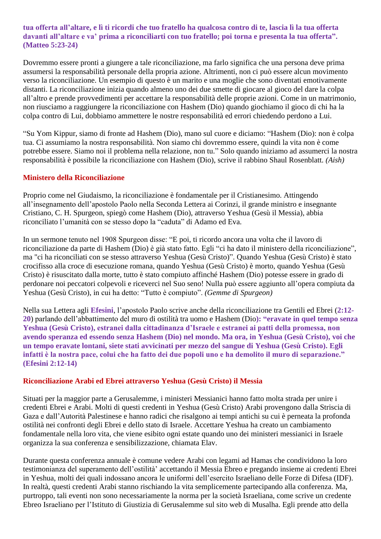### **tua offerta all'altare, e lì ti ricordi che tuo fratello ha qualcosa contro di te, lascia lì la tua offerta davanti all'altare e va' prima a riconciliarti con tuo fratello; poi torna e presenta la tua offerta". (Matteo 5:23-24)**

Dovremmo essere pronti a giungere a tale riconciliazione, ma farlo significa che una persona deve prima assumersi la responsabilità personale della propria azione. Altrimenti, non ci può essere alcun movimento verso la riconciliazione. Un esempio di questo è un marito e una moglie che sono diventati emotivamente distanti. La riconciliazione inizia quando almeno uno dei due smette di giocare al gioco del dare la colpa all'altro e prende provvedimenti per accettare la responsabilità delle proprie azioni. Come in un matrimonio, non riusciamo a raggiungere la riconciliazione con Hashem (Dio) quando giochiamo il gioco di chi ha la colpa contro di Lui, dobbiamo ammettere le nostre responsabilità ed errori chiedendo perdono a Lui.

"Su Yom Kippur, siamo di fronte ad Hashem (Dio), mano sul cuore e diciamo: "Hashem (Dio): non è colpa tua. Ci assumiamo la nostra responsabilità. Non siamo chi dovremmo essere, quindi la vita non è come potrebbe essere. Siamo noi il problema nella relazione, non tu." Solo quando iniziamo ad assumerci la nostra responsabilità è possibile la riconciliazione con Hashem (Dio), scrive il rabbino Shaul Rosenblatt. *(Aish)*

#### **Ministero della Riconciliazione**

Proprio come nel Giudaismo, la riconciliazione è fondamentale per il Cristianesimo. Attingendo all'insegnamento dell'apostolo Paolo nella Seconda Lettera ai Corinzi, il grande ministro e insegnante Cristiano, C. H. Spurgeon, spiegò come Hashem (Dio), attraverso Yeshua (Gesù il Messia), abbia riconciliato l'umanità con se stesso dopo la "caduta" di Adamo ed Eva.

In un sermone tenuto nel 1908 Spurgeon disse: "E poi, ti ricordo ancora una volta che il lavoro di riconciliazione da parte di Hashem (Dio) è già stato fatto. Egli "ci ha dato il ministero della riconciliazione", ma "ci ha riconciliati con se stesso attraverso Yeshua (Gesù Cristo)". Quando Yeshua (Gesù Cristo) è stato crocifisso alla croce di esecuzione romana, quando Yeshua (Gesù Cristo) è morto, quando Yeshua (Gesù Cristo) è risuscitato dalla morte, tutto è stato compiuto affinché Hashem (Dio) potesse essere in grado di perdonare noi peccatori colpevoli e riceverci nel Suo seno! Nulla può essere aggiunto all'opera compiuta da Yeshua (Gesù Cristo), in cui ha detto: "Tutto è compiuto". *(Gemme di Spurgeon)*

Nella sua Lettera agli **Efesini**, l'apostolo Paolo scrive anche della riconciliazione tra Gentili ed Ebrei (**2:12- 20**) parlando dell'abbattimento del muro di ostilità tra uomo e Hashem (Dio**): "eravate in quel tempo senza Yeshua (Gesù Cristo), estranei dalla cittadinanza d'Israele e estranei ai patti della promessa, non avendo speranza ed essendo senza Hashem (Dio) nel mondo. Ma ora, in Yeshua (Gesù Cristo), voi che un tempo eravate lontani, siete stati avvicinati per mezzo del sangue di Yeshua (Gesù Cristo). Egli infatti è la nostra pace, colui che ha fatto dei due popoli uno e ha demolito il muro di separazione." (Efesini 2:12-14)**

#### **Riconciliazione Arabi ed Ebrei attraverso Yeshua (Gesù Cristo) il Messia**

Situati per la maggior parte a Gerusalemme, i ministeri Messianici hanno fatto molta strada per unire i credenti Ebrei e Arabi. Molti di questi credenti in Yeshua (Gesù Cristo) Arabi provengono dalla Striscia di Gaza e dall'Autorità Palestinese e hanno radici che risalgono ai tempi antichi su cui è perneata la profonda ostilità nei confronti degli Ebrei e dello stato di Israele. Accettare Yeshua ha creato un cambiamento fondamentale nella loro vita, che viene esibito ogni estate quando uno dei ministeri messianici in Israele organizza la sua conferenza e sensibilizzazione, chiamata Elav.

Durante questa conferenza annuale è comune vedere Arabi con legami ad Hamas che condividono la loro testimonianza del superamento dell'ostilità' accettando il Messia Ebreo e pregando insieme ai credenti Ebrei in Yeshua, molti dei quali indossano ancora le uniformi dell'esercito Israeliano delle Forze di Difesa (IDF). In realtà, questi credenti Arabi stanno rischiando la vita semplicemente partecipando alla conferenza. Ma, purtroppo, tali eventi non sono necessariamente la norma per la società Israeliana, come scrive un credente Ebreo Israeliano per l'Istituto di Giustizia di Gerusalemme sul sito web di Musalha. Egli prende atto della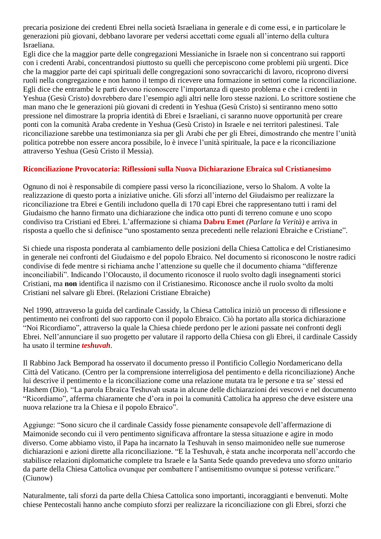precaria posizione dei credenti Ebrei nella società Israeliana in generale e di come essi, e in particolare le generazioni più giovani, debbano lavorare per vedersi accettati come eguali all'interno della cultura Israeliana.

Egli dice che la maggior parte delle congregazioni Messianiche in Israele non si concentrano sui rapporti con i credenti Arabi, concentrandosi piuttosto su quelli che percepiscono come problemi più urgenti. Dice che la maggior parte dei capi spirituali delle congregazioni sono sovraccarichi di lavoro, ricoprono diversi ruoli nella congregazione e non hanno il tempo di ricevere una formazione in settori come la riconciliazione. Egli dice che entrambe le parti devono riconoscere l'importanza di questo problema e che i credenti in Yeshua (Gesù Cristo) dovrebbero dare l'esempio agli altri nelle loro stesse nazioni. Lo scrittore sostiene che man mano che le generazioni più giovani di credenti in Yeshua (Gesù Cristo) si sentiranno meno sotto pressione nel dimostrare la propria identità di Ebrei e Israeliani, ci saranno nuove opportunità per creare ponti con la comunità Araba credente in Yeshua (Gesù Cristo) in Israele e nei territori palestinesi. Tale riconciliazione sarebbe una testimonianza sia per gli Arabi che per gli Ebrei, dimostrando che mentre l'unità politica potrebbe non essere ancora possibile, lo è invece l'unità spirituale, la pace e la riconciliazione attraverso Yeshua (Gesù Cristo il Messia).

## **Riconciliazione Provocatoria: Riflessioni sulla Nuova Dichiarazione Ebraica sul Cristianesimo**

Ognuno di noi è responsabile di compiere passi verso la riconciliazione, verso lo Shalom. A volte la realizzazione di questo porta a iniziative uniche. Gli sforzi all'interno del Giudaismo per realizzare la riconciliazione tra Ebrei e Gentili includono quella di 170 capi Ebrei che rappresentano tutti i rami del Giudaismo che hanno firmato una dichiarazione che indica otto punti di terreno comune e uno scopo condiviso tra Cristiani ed Ebrei. L'affermazione si chiama **Dabru Emet** *(Parlare la Verità)* e arriva in risposta a quello che si definisce "uno spostamento senza precedenti nelle relazioni Ebraiche e Cristiane".

Si chiede una risposta ponderata al cambiamento delle posizioni della Chiesa Cattolica e del Cristianesimo in generale nei confronti del Giudaismo e del popolo Ebraico. Nel documento si riconoscono le nostre radici condivise di fede mentre si richiama anche l'attenzione su quelle che il documento chiama "differenze inconciliabili". Indicando l'Olocausto, il documento riconosce il ruolo svolto dagli insegnamenti storici Cristiani, ma **non** identifica il nazismo con il Cristianesimo. Riconosce anche il ruolo svolto da molti Cristiani nel salvare gli Ebrei. (Relazioni Cristiane Ebraiche)

Nel 1990, attraverso la guida del cardinale Cassidy, la Chiesa Cattolica iniziò un processo di riflessione e pentimento nei confronti del suo rapporto con il popolo Ebraico. Ciò ha portato alla storica dichiarazione "Noi Ricordiamo", attraverso la quale la Chiesa chiede perdono per le azioni passate nei confronti degli Ebrei. Nell'annunciare il suo progetto per valutare il rapporto della Chiesa con gli Ebrei, il cardinale Cassidy ha usato il termine *teshuvah*.

Il Rabbino Jack Bemporad ha osservato il documento presso il Pontificio Collegio Nordamericano della Città del Vaticano. (Centro per la comprensione interreligiosa del pentimento e della riconciliazione) Anche lui descrive il pentimento e la riconciliazione come una relazione mutata tra le persone e tra se' stessi ed Hashem (Dio). "La parola Ebraica Teshuvah usata in alcune delle dichiarazioni dei vescovi e nel documento "Ricordiamo", afferma chiaramente che d'ora in poi la comunità Cattolica ha appreso che deve esistere una nuova relazione tra la Chiesa e il popolo Ebraico".

Aggiunge: "Sono sicuro che il cardinale Cassidy fosse pienamente consapevole dell'affermazione di Maimonide secondo cui il vero pentimento significava affrontare la stessa situazione e agire in modo diverso. Come abbiamo visto, il Papa ha incarnato la Teshuvah in senso maimonideo nelle sue numerose dichiarazioni e azioni dirette alla riconciliazione. "E la Teshuvah, è stata anche incorporata nell'accordo che stabilisce relazioni diplomatiche complete tra Israele e la Santa Sede quando prevedeva uno sforzo unitario da parte della Chiesa Cattolica ovunque per combattere l'antisemitismo ovunque si potesse verificare." (Ciunow)

Naturalmente, tali sforzi da parte della Chiesa Cattolica sono importanti, incoraggianti e benvenuti. Molte chiese Pentecostali hanno anche compiuto sforzi per realizzare la riconciliazione con gli Ebrei, sforzi che